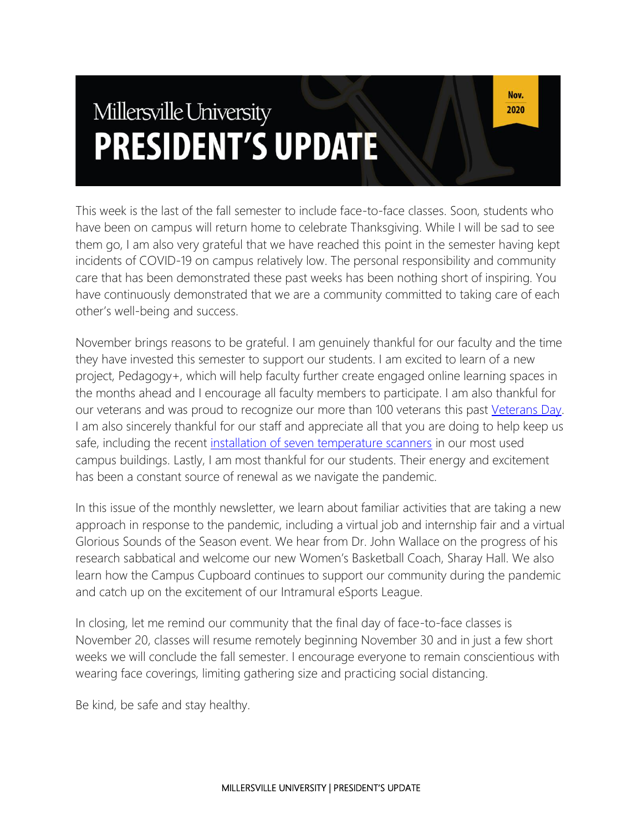# Millersville University **PRESIDENT'S UPDATE**

This week is the last of the fall semester to include face-to-face classes. Soon, students who have been on campus will return home to celebrate Thanksgiving. While I will be sad to see them go, I am also very grateful that we have reached this point in the semester having kept incidents of COVID-19 on campus relatively low. The personal responsibility and community care that has been demonstrated these past weeks has been nothing short of inspiring. You have continuously demonstrated that we are a community committed to taking care of each other's well-being and success.

November brings reasons to be grateful. I am genuinely thankful for our faculty and the time they have invested this semester to support our students. I am excited to learn of a new project, Pedagogy+, which will help faculty further create engaged online learning spaces in the months ahead and I encourage all faculty members to participate. I am also thankful for our veterans and was proud to recognize our more than 100 veterans this past [Veterans Day.](https://blogs.millersville.edu/news/2020/11/05/honoring-veterans-in-2020/) I am also sincerely thankful for our staff and appreciate all that you are doing to help keep us safe, including the recent [installation of seven temperature scanners](https://blogs.millersville.edu/news/2020/11/09/temperature-scanners-on-campus/) in our most used campus buildings. Lastly, I am most thankful for our students. Their energy and excitement has been a constant source of renewal as we navigate the pandemic.

In this issue of the monthly newsletter, we learn about familiar activities that are taking a new approach in response to the pandemic, including a virtual job and internship fair and a virtual Glorious Sounds of the Season event. We hear from Dr. John Wallace on the progress of his research sabbatical and welcome our new Women's Basketball Coach, Sharay Hall. We also learn how the Campus Cupboard continues to support our community during the pandemic and catch up on the excitement of our Intramural eSports League.

In closing, let me remind our community that the final day of face-to-face classes is November 20, classes will resume remotely beginning November 30 and in just a few short weeks we will conclude the fall semester. I encourage everyone to remain conscientious with wearing face coverings, limiting gathering size and practicing social distancing.

Be kind, be safe and stay healthy.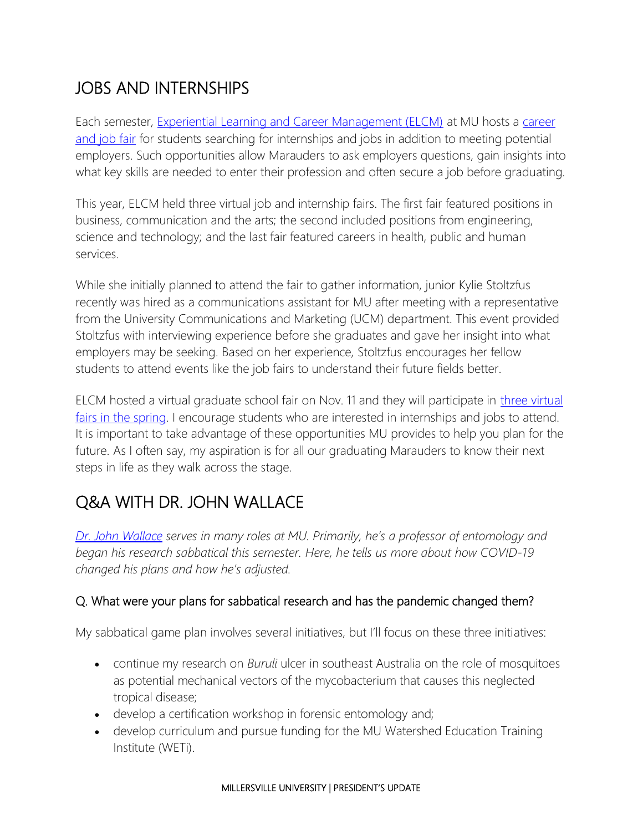# JOBS AND INTERNSHIPS

Each semester, [Experiential Learning and Career Management \(ELCM\)](https://www.millersville.edu/elcm/index.php) at MU hosts a career [and job fair](https://www.millersville.edu/elcm/fairs-events/job-internship-fair.php) for students searching for internships and jobs in addition to meeting potential employers. Such opportunities allow Marauders to ask employers questions, gain insights into what key skills are needed to enter their profession and often secure a job before graduating.

This year, ELCM held three virtual job and internship fairs. The first fair featured positions in business, communication and the arts; the second included positions from engineering, science and technology; and the last fair featured careers in health, public and human services.

While she initially planned to attend the fair to gather information, junior Kylie Stoltzfus recently was hired as a communications assistant for MU after meeting with a representative from the University Communications and Marketing (UCM) department. This event provided Stoltzfus with interviewing experience before she graduates and gave her insight into what employers may be seeking. Based on her experience, Stoltzfus encourages her fellow students to attend events like the job fairs to understand their future fields better.

ELCM hosted a virtual graduate school fair on Nov. 11 and they will participate in [three virtual](https://www.millersville.edu/elcm/fairs-events/index.php)  [fairs in the spring.](https://www.millersville.edu/elcm/fairs-events/index.php) I encourage students who are interested in internships and jobs to attend. It is important to take advantage of these opportunities MU provides to help you plan for the future. As I often say, my aspiration is for all our graduating Marauders to know their next steps in life as they walk across the stage.

# Q&A WITH DR. JOHN WALLACE

*[Dr. John Wallace](https://www.millersville.edu/biology/faculty/j-wallace.php) serves in many roles at MU. Primarily, he's a professor of entomology and began his research sabbatical this semester. Here, he tells us more about how COVID-19 changed his plans and how he's adjusted.*

#### Q. What were your plans for sabbatical research and has the pandemic changed them?

My sabbatical game plan involves several initiatives, but I'll focus on these three initiatives:

- continue my research on *Buruli* ulcer in southeast Australia on the role of mosquitoes as potential mechanical vectors of the mycobacterium that causes this neglected tropical disease;
- develop a certification workshop in forensic entomology and;
- develop curriculum and pursue funding for the MU Watershed Education Training Institute (WETi).

#### MILLERSVILLE UNIVERSITY | PRESIDENT'S UPDATE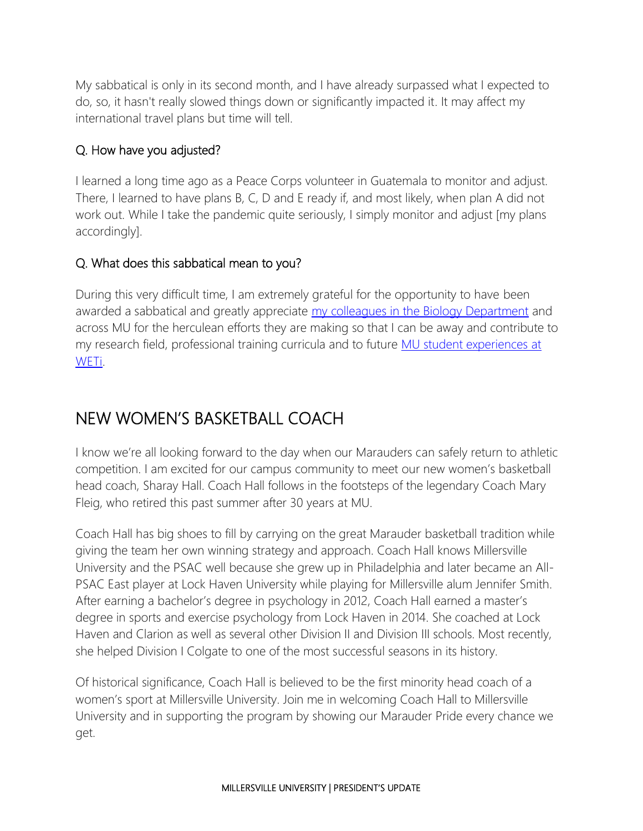My sabbatical is only in its second month, and I have already surpassed what I expected to do, so, it hasn't really slowed things down or significantly impacted it. It may affect my international travel plans but time will tell.

#### Q. How have you adjusted?

I learned a long time ago as a Peace Corps volunteer in Guatemala to monitor and adjust. There, I learned to have plans B, C, D and E ready if, and most likely, when plan A did not work out. While I take the pandemic quite seriously, I simply monitor and adjust [my plans accordingly].

#### Q. What does this sabbatical mean to you?

During this very difficult time, I am extremely grateful for the opportunity to have been awarded a sabbatical and greatly appreciate [my colleagues in the Biology Department](https://www.millersville.edu/biology/) and across MU for the herculean efforts they are making so that I can be away and contribute to my research field, professional training curricula and to future [MU student experiences at](https://www.millersville.edu/sustainability/in-the-curriculum.php)  [WETi.](https://www.millersville.edu/sustainability/in-the-curriculum.php)

### NEW WOMEN'S BASKETBALL COACH

I know we're all looking forward to the day when our Marauders can safely return to athletic competition. I am excited for our campus community to meet our new women's basketball head coach, Sharay Hall. Coach Hall follows in the footsteps of the legendary Coach Mary Fleig, who retired this past summer after 30 years at MU.

Coach Hall has big shoes to fill by carrying on the great Marauder basketball tradition while giving the team her own winning strategy and approach. Coach Hall knows Millersville University and the PSAC well because she grew up in Philadelphia and later became an All-PSAC East player at Lock Haven University while playing for Millersville alum Jennifer Smith. After earning a bachelor's degree in psychology in 2012, Coach Hall earned a master's degree in sports and exercise psychology from Lock Haven in 2014. She coached at Lock Haven and Clarion as well as several other Division II and Division III schools. Most recently, she helped Division I Colgate to one of the most successful seasons in its history.

Of historical significance, Coach Hall is believed to be the first minority head coach of a women's sport at Millersville University. Join me in welcoming Coach Hall to Millersville University and in supporting the program by showing our Marauder Pride every chance we get.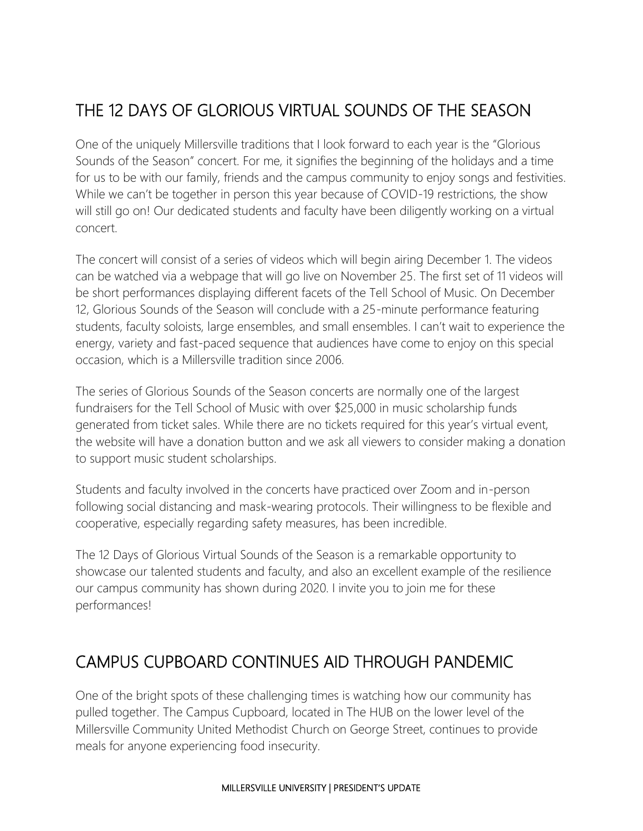# THE 12 DAYS OF GLORIOUS VIRTUAL SOUNDS OF THE SEASON

One of the uniquely Millersville traditions that I look forward to each year is the "Glorious Sounds of the Season" concert. For me, it signifies the beginning of the holidays and a time for us to be with our family, friends and the campus community to enjoy songs and festivities. While we can't be together in person this year because of COVID-19 restrictions, the show will still go on! Our dedicated students and faculty have been diligently working on a virtual concert.

The concert will consist of a series of videos which will begin airing December 1. The videos can be watched via a webpage that will go live on November 25. The first set of 11 videos will be short performances displaying different facets of the Tell School of Music. On December 12, Glorious Sounds of the Season will conclude with a 25-minute performance featuring students, faculty soloists, large ensembles, and small ensembles. I can't wait to experience the energy, variety and fast-paced sequence that audiences have come to enjoy on this special occasion, which is a Millersville tradition since 2006.

The series of Glorious Sounds of the Season concerts are normally one of the largest fundraisers for the Tell School of Music with over \$25,000 in music scholarship funds generated from ticket sales. While there are no tickets required for this year's virtual event, the website will have a donation button and we ask all viewers to consider making a donation to support music student scholarships.

Students and faculty involved in the concerts have practiced over Zoom and in-person following social distancing and mask-wearing protocols. Their willingness to be flexible and cooperative, especially regarding safety measures, has been incredible.

The 12 Days of Glorious Virtual Sounds of the Season is a remarkable opportunity to showcase our talented students and faculty, and also an excellent example of the resilience our campus community has shown during 2020. I invite you to join me for these performances!

### CAMPUS CUPBOARD CONTINUES AID THROUGH PANDEMIC

One of the bright spots of these challenging times is watching how our community has pulled together. The Campus Cupboard, located in The HUB on the lower level of the Millersville Community United Methodist Church on George Street, continues to provide meals for anyone experiencing food insecurity.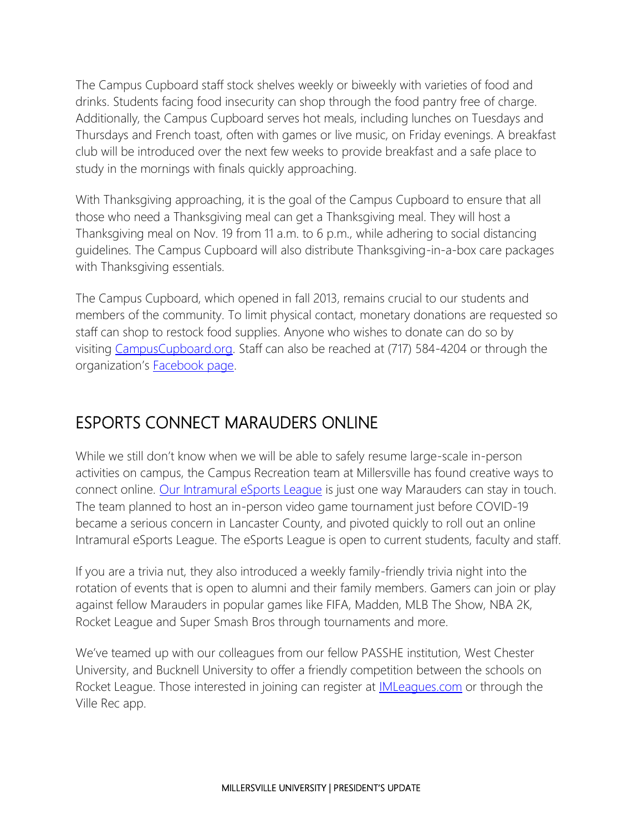The Campus Cupboard staff stock shelves weekly or biweekly with varieties of food and drinks. Students facing food insecurity can shop through the food pantry free of charge. Additionally, the Campus Cupboard serves hot meals, including lunches on Tuesdays and Thursdays and French toast, often with games or live music, on Friday evenings. A breakfast club will be introduced over the next few weeks to provide breakfast and a safe place to study in the mornings with finals quickly approaching.

With Thanksgiving approaching, it is the goal of the Campus Cupboard to ensure that all those who need a Thanksgiving meal can get a Thanksgiving meal. They will host a Thanksgiving meal on Nov. 19 from 11 a.m. to 6 p.m., while adhering to social distancing guidelines. The Campus Cupboard will also distribute Thanksgiving-in-a-box care packages with Thanksgiving essentials.

The Campus Cupboard, which opened in fall 2013, remains crucial to our students and members of the community. To limit physical contact, monetary donations are requested so staff can shop to restock food supplies. Anyone who wishes to donate can do so by visiting [CampusCupboard.org.](https://www.hubmillersville.com/campus-cupboard) Staff can also be reached at (717) 584-4204 or through the organization's **Facebook page**.

### ESPORTS CONNECT MARAUDERS ONLINE

While we still don't know when we will be able to safely resume large-scale in-person activities on campus, the Campus Recreation team at Millersville has found creative ways to connect online. [Our Intramural eSports League](https://www.millersville.edu/campusrec/intramural/esports.php) is just one way Marauders can stay in touch. The team planned to host an in-person video game tournament just before COVID-19 became a serious concern in Lancaster County, and pivoted quickly to roll out an online Intramural eSports League. The eSports League is open to current students, faculty and staff.

If you are a trivia nut, they also introduced a weekly family-friendly trivia night into the rotation of events that is open to alumni and their family members. Gamers can join or play against fellow Marauders in popular games like FIFA, Madden, MLB The Show, NBA 2K, Rocket League and Super Smash Bros through tournaments and more.

We've teamed up with our colleagues from our fellow PASSHE institution, West Chester University, and Bucknell University to offer a friendly competition between the schools on Rocket League. Those interested in joining can register at *[IMLeagues.com](https://www.imleagues.com/spa/portal/home)* or through the Ville Rec app.